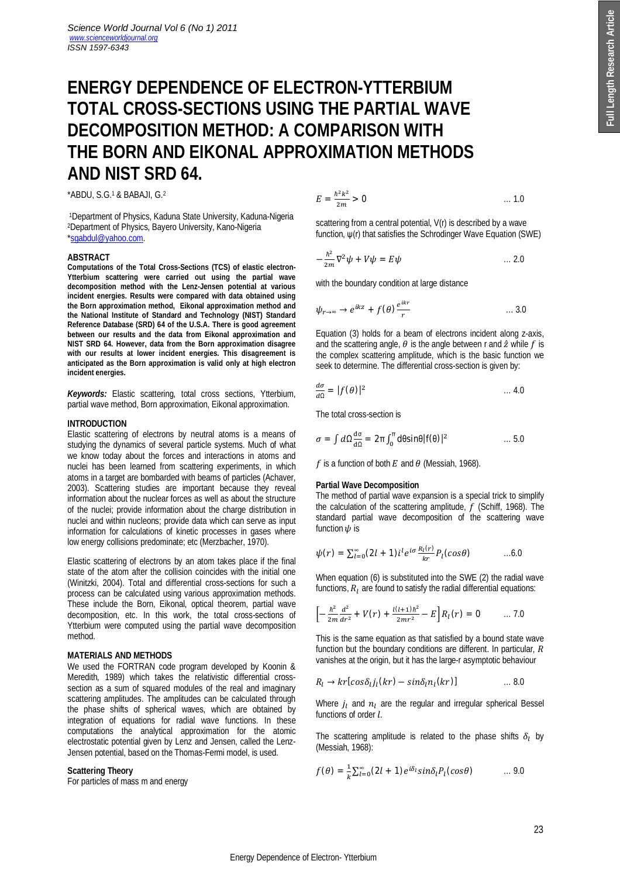# **ENERGY DEPENDENCE OF ELECTRON-YTTERBIUM TOTAL CROSS-SECTIONS USING THE PARTIAL WAVE DECOMPOSITION METHOD: A COMPARISON WITH THE BORN AND EIKONAL APPROXIMATION METHODS AND NIST SRD 64.**

\*ABDU, S.G.<sup>1</sup> & BABAJI, G.<sup>2</sup>

<sup>1</sup>Department of Physics, Kaduna State University, Kaduna-Nigeria <sup>2</sup>Department of Physics, Bayero University, Kano-Nigeria \*sgabdul@yahoo.com.

#### **ABSTRACT**

**Computations of the Total Cross-Sections (TCS) of elastic electron-Ytterbium scattering were carried out using the partial wave decomposition method with the Lenz-Jensen potential at various incident energies. Results were compared with data obtained using the Born approximation method, Eikonal approximation method and the National Institute of Standard and Technology (NIST) Standard Reference Database (SRD) 64 of the U.S.A. There is good agreement between our results and the data from Eikonal approximation and NIST SRD 64. However, data from the Born approximation disagree with our results at lower incident energies. This disagreement is anticipated as the Born approximation is valid only at high electron incident energies.**

*Keywords:* Elastic scattering, total cross sections, Ytterbium, partial wave method, Born approximation, Eikonal approximation.

## **INTRODUCTION**

Elastic scattering of electrons by neutral atoms is a means of studying the dynamics of several particle systems. Much of what we know today about the forces and interactions in atoms and nuclei has been learned from scattering experiments, in which atoms in a target are bombarded with beams of particles (Achaver, 2003). Scattering studies are important because they reveal information about the nuclear forces as well as about the structure of the nuclei; provide information about the charge distribution in nuclei and within nucleons; provide data which can serve as input information for calculations of kinetic processes in gases where low energy collisions predominate; etc (Merzbacher, 1970).

Elastic scattering of electrons by an atom takes place if the final state of the atom after the collision coincides with the initial one (Winitzki, 2004). Total and differential cross-sections for such a process can be calculated using various approximation methods. These include the Born, Eikonal, optical theorem, partial wave decomposition, etc. In this work, the total cross-sections of Ytterbium were computed using the partial wave decomposition method.

## **MATERIALS AND METHODS**

We used the FORTRAN code program developed by Koonin & Meredith*,* 1989) which takes the relativistic differential crosssection as a sum of squared modules of the real and imaginary scattering amplitudes. The amplitudes can be calculated through the phase shifts of spherical waves, which are obtained by integration of equations for radial wave functions. In these computations the analytical approximation for the atomic electrostatic potential given by Lenz and Jensen, called the Lenz-Jensen potential, based on the Thomas-Fermi model, is used.

#### **Scattering Theory**

For particles of mass m and energy

$$
E = \frac{\hbar^2 k^2}{2m} > 0 \tag{1.0}
$$

scattering from a central potential, V(r) is described by a wave function, ψ(r) that satisfies the Schrodinger Wave Equation (SWE)

$$
-\frac{\hbar^2}{2m}\nabla^2\psi + V\psi = E\psi \qquad \qquad \dots 2.0
$$

with the boundary condition at large distance

$$
\psi_{r \to \infty} \to e^{ikz} + f(\theta) \frac{e^{ikr}}{r} \qquad \qquad \dots 3.0
$$

Equation (3) holds for a beam of electrons incident along z-axis, and the scattering angle,  $\theta$  is the angle between r and  $\hat{z}$  while  $f$  is the complex scattering amplitude, which is the basic function we seek to determine. The differential cross-section is given by:

$$
\frac{d\sigma}{d\Omega} = |f(\theta)|^2 \qquad \qquad \dots 4.0
$$

The total cross-section is

$$
\sigma = \int d\Omega \frac{d\sigma}{d\Omega} = 2\pi \int_0^{\pi} d\theta \sin\theta |f(\theta)|^2 \qquad \qquad \dots 5.0
$$

f is a function of both  $E$  and  $\theta$  (Messiah, 1968).

#### **Partial Wave Decomposition**

The method of partial wave expansion is a special trick to simplify the calculation of the scattering amplitude,  $\dot{f}$  (Schiff, 1968). The standard partial wave decomposition of the scattering wave function  $\psi$  is

$$
\psi(r) = \sum_{l=0}^{\infty} (2l+1) i^l e^{i\sigma} \frac{R_l(r)}{kr} P_l(cos\theta) \qquad \dots 6.0
$$

When equation (6) is substituted into the SWE (2) the radial wave functions,  $R_1$  are found to satisfy the radial differential equations:

$$
\[-\frac{\hbar^2}{2m}\frac{d^2}{dr^2} + V(r) + \frac{l(l+1)\hbar^2}{2mr^2} - E\]R_l(r) = 0 \qquad \dots 7.0
$$

This is the same equation as that satisfied by a bound state wave function but the boundary conditions are different. In particular,  $R$ vanishes at the origin, but it has the large-r asymptotic behaviour

$$
R_l \to kr[cos\delta_l j_l(kr) - sin\delta_l n_l(kr)] \qquad \qquad \dots 8.0
$$

Where  $j_l$  and  $n_l$  are the regular and irregular spherical Bessel functions of order *l*.

The scattering amplitude is related to the phase shifts  $\delta_l$  by (Messiah, 1968):

$$
f(\theta) = \frac{1}{k} \sum_{l=0}^{\infty} (2l+1) e^{i\delta_l} sin \delta_l P_l(cos \theta) \qquad \dots 9.0
$$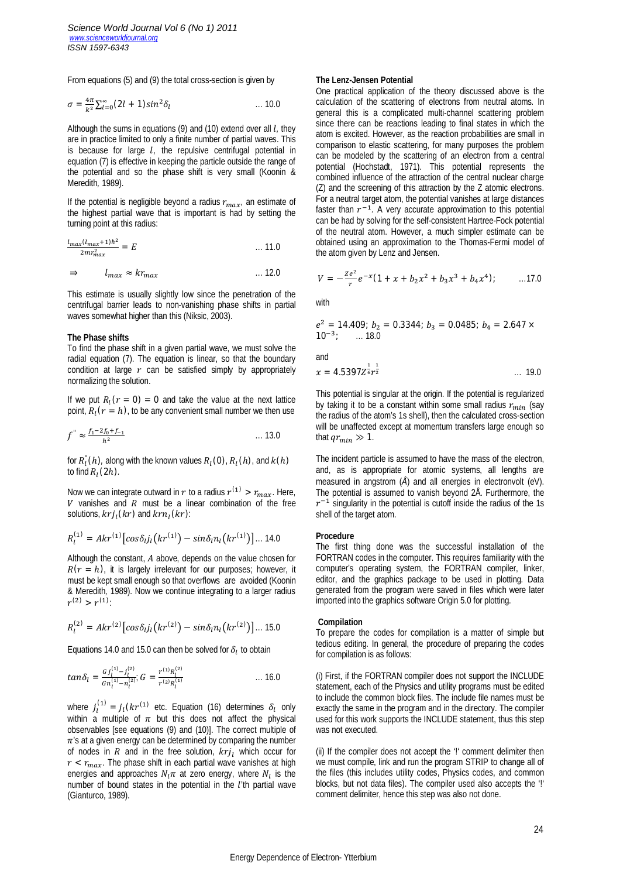From equations (5) and (9) the total cross-section is given by

$$
\sigma = \frac{4\pi}{k^2} \sum_{l=0}^{\infty} (2l+1) sin^2 \delta_l \qquad \qquad \dots \, 10.0
$$

Although the sums in equations (9) and (10) extend over all *l*, they are in practice limited to only a finite number of partial waves. This is because for large *l*, the repulsive centrifugal potential in equation (7) is effective in keeping the particle outside the range of the potential and so the phase shift is very small (Koonin & Meredith*,* 1989).

If the potential is negligible beyond a radius  $r_{max}$ , an estimate of the highest partial wave that is important is had by setting the turning point at this radius:

$$
\frac{l_{max}(l_{max}+1)\hbar^2}{2mr_{max}^2} = E \tag{11.0}
$$

$$
\Rightarrow \qquad l_{max} \approx kr_{max} \qquad \qquad \dots 12.0
$$

This estimate is usually slightly low since the penetration of the centrifugal barrier leads to non-vanishing phase shifts in partial waves somewhat higher than this (Niksic, 2003).

## **The Phase shifts**

To find the phase shift in a given partial wave, we must solve the radial equation (7). The equation is linear, so that the boundary condition at large  $r$  can be satisfied simply by appropriately normalizing the solution.

If we put  $R_l(r = 0) = 0$  and take the value at the next lattice point,  $R_l(r = h)$ , to be any convenient small number we then use

$$
f'' \approx \frac{f_1 - 2f_0 + f_{-1}}{h^2} \qquad \qquad \dots \, 13.0
$$

for  $R^{\text{''}}_l(h)$ , along with the known values  $R_l$  (0),  $R_l(h)$ , and  $k(h)$ to find  $R_l(2h)$ .

Now we can integrate outward in r to a radius  $r^{(1)} > r_{max}$ . Here,  $V$  vanishes and  $R$  must be a linear combination of the free solutions,  $krj_l(kr)$  and  $krn_l(kr)$ :

$$
R_l^{(1)} = Akr^{(1)}[cos\delta_l j_l(kr^{(1)}) - sin\delta_l n_l(kr^{(1)})] \dots 14.0
$$

Although the constant,  $A$  above, depends on the value chosen for  $R(r = h)$ , it is largely irrelevant for our purposes; however, it must be kept small enough so that overflows are avoided (Koonin & Meredith*,* 1989). Now we continue integrating to a larger radius  $r^{(2)} > r^{(1)}$ 

$$
R_l^{(2)} = Akr^{(2)}[cos\delta_l j_l(kr^{(2)}) - sin\delta_l n_l(kr^{(2)})] \dots 15.0
$$

Equations 14.0 and 15.0 can then be solved for  $\delta_l$  to obtain

$$
tan \delta_l = \frac{G j_l^{(1)} - j_l^{(2)}}{G n_l^{(1)} - n_l^{(2)}} G = \frac{r^{(1)} R_l^{(2)}}{r^{(2)} R_l^{(1)}} \qquad \qquad \dots \qquad 16.0
$$

where  $j_l^{(1)} = j_l(kr^{(1)})$  etc. Equation (16) determines  $\delta_l$  only within a multiple of  $\pi$  but this does not affect the physical observables [see equations (9) and (10)]. The correct multiple of  $\pi$ 's at a given energy can be determined by comparing the number of nodes in R and in the free solution,  $krj_1$  which occur for  $r < r_{max}$ . The phase shift in each partial wave vanishes at high energies and approaches  $N_l \pi$  at zero energy, where  $N_l$  is the number of bound states in the potential in the  $l$ 'th partial wave (Gianturco, 1989).

#### **The Lenz-Jensen Potential**

One practical application of the theory discussed above is the calculation of the scattering of electrons from neutral atoms. In general this is a complicated multi-channel scattering problem since there can be reactions leading to final states in which the atom is excited. However, as the reaction probabilities are small in comparison to elastic scattering, for many purposes the problem can be modeled by the scattering of an electron from a central potential (Hochstadt, 1971). This potential represents the combined influence of the attraction of the central nuclear charge (Z) and the screening of this attraction by the Z atomic electrons. For a neutral target atom, the potential vanishes at large distances faster than  $r^{-1}$ . A very accurate approximation to this potential can be had by solving for the self-consistent Hartree-Fock potential of the neutral atom. However, a much simpler estimate can be obtained using an approximation to the Thomas-Fermi model of the atom given by Lenz and Jensen.

$$
V = -\frac{ze^2}{r}e^{-x}(1+x+b_2x^2+b_3x^3+b_4x^4); \qquad ...(17.0)
$$

with

$$
e^2 = 14.409
$$
;  $b_2 = 0.3344$ ;  $b_3 = 0.0485$ ;  $b_4 = 2.647 \times 10^{-3}$ ; ... 18.0

and

$$
x = 4.5397Z_{6}^{\frac{1}{2}}r^{\frac{1}{2}}
$$
 ... 19.0

This potential is singular at the origin. If the potential is regularized by taking it to be a constant within some small radius  $r_{min}$  (say the radius of the atom's 1s shell), then the calculated cross-section will be unaffected except at momentum transfers large enough so that  $qr_{min} \gg 1$ .

The incident particle is assumed to have the mass of the electron, and, as is appropriate for atomic systems, all lengths are measured in angstrom (*Å*) and all energies in electronvolt (eV). The potential is assumed to vanish beyond 2Å. Furthermore, the  $r^{-1}$  singularity in the potential is cutoff inside the radius of the 1s shell of the target atom.

#### **Procedure**

The first thing done was the successful installation of the FORTRAN codes in the computer. This requires familiarity with the computer's operating system, the FORTRAN compiler, linker, editor, and the graphics package to be used in plotting. Data generated from the program were saved in files which were later imported into the graphics software Origin 5.0 for plotting.

#### **Compilation**

To prepare the codes for compilation is a matter of simple but tedious editing. In general, the procedure of preparing the codes for compilation is as follows:

(i) First, if the FORTRAN compiler does not support the INCLUDE statement, each of the Physics and utility programs must be edited to include the common block files. The include file names must be exactly the same in the program and in the directory. The compiler used for this work supports the INCLUDE statement, thus this step was not executed.

(ii) If the compiler does not accept the '!' comment delimiter then we must compile, link and run the program STRIP to change all of the files (this includes utility codes, Physics codes, and common blocks, but not data files). The compiler used also accepts the '!' comment delimiter, hence this step was also not done.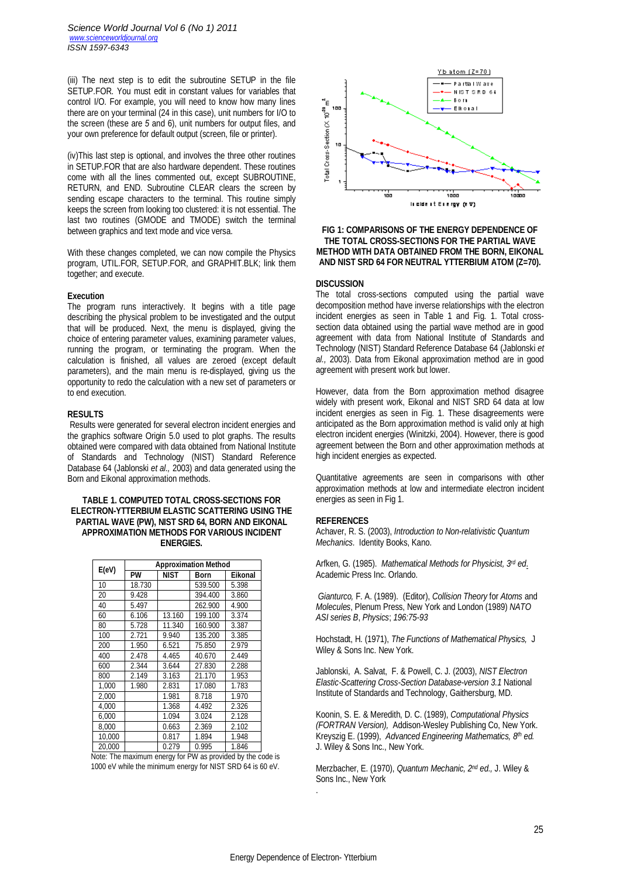(iii) The next step is to edit the subroutine SETUP in the file SETUP.FOR. You must edit in constant values for variables that control I/O. For example, you will need to know how many lines there are on your terminal (24 in this case), unit numbers for I/O to the screen (these are *5* and 6), unit numbers for output files, and your own preference for default output (screen, file or printer).

(iv)This last step is optional, and involves the three other routines in SETUP.FOR that are also hardware dependent. These routines come with all the lines commented out, except SUBROUTINE, RETURN, and END. Subroutine CLEAR clears the screen by sending escape characters to the terminal. This routine simply keeps the screen from looking too clustered: it is not essential. The last two routines (GMODE and TMODE) switch the terminal between graphics and text mode and vice versa.

With these changes completed, we can now compile the Physics program, UTIL.FOR, SETUP.FOR, and GRAPHIT.BLK; link them together; and execute.

#### **Execution**

The program runs interactively. It begins with a title page describing the physical problem to be investigated and the output that will be produced. Next, the menu is displayed, giving the choice of entering parameter values, examining parameter values, running the program, or terminating the program. When the calculation is finished, all values are zeroed (except default parameters), and the main menu is re-displayed, giving us the opportunity to redo the calculation with a new set of parameters or to end execution.

### **RESULTS**

Results were generated for several electron incident energies and the graphics software Origin 5.0 used to plot graphs. The results obtained were compared with data obtained from National Institute of Standards and Technology (NIST) Standard Reference Database 64 (Jablonski *et al.,* 2003) and data generated using the Born and Eikonal approximation methods.

## **TABLE 1. COMPUTED TOTAL CROSS-SECTIONS FOR ELECTRON-YTTERBIUM ELASTIC SCATTERING USING THE PARTIAL WAVE (PW), NIST SRD 64, BORN AND EIKONAL APPROXIMATION METHODS FOR VARIOUS INCIDENT ENERGIES.**

| E(eV)  | <b>Approximation Method</b> |             |         |         |
|--------|-----------------------------|-------------|---------|---------|
|        | <b>PW</b>                   | <b>NIST</b> | Born    | Eikonal |
| 10     | 18.730                      |             | 539.500 | 5.398   |
| 20     | 9.428                       |             | 394.400 | 3.860   |
| 40     | 5.497                       |             | 262.900 | 4.900   |
| 60     | 6.106                       | 13.160      | 199.100 | 3.374   |
| 80     | 5.728                       | 11.340      | 160.900 | 3.387   |
| 100    | 2.721                       | 9.940       | 135.200 | 3.385   |
| 200    | 1.950                       | 6.521       | 75.850  | 2.979   |
| 400    | 2.478                       | 4.465       | 40.670  | 2.449   |
| 600    | 2.344                       | 3.644       | 27.830  | 2.288   |
| 800    | 2.149                       | 3.163       | 21.170  | 1.953   |
| 1,000  | 1.980                       | 2.831       | 17.080  | 1.783   |
| 2.000  |                             | 1.981       | 8.718   | 1.970   |
| 4.000  |                             | 1.368       | 4.492   | 2.326   |
| 6,000  |                             | 1.094       | 3.024   | 2.128   |
| 8,000  |                             | 0.663       | 2.369   | 2.102   |
| 10,000 |                             | 0.817       | 1.894   | 1.948   |
| 20,000 |                             | 0.279       | 0.995   | 1.846   |

Note: The maximum energy for PW as provided by the code is 1000 eV while the minimum energy for NIST SRD 64 is 60 eV.



## **FIG 1: COMPARISONS OF THE ENERGY DEPENDENCE OF THE TOTAL CROSS-SECTIONS FOR THE PARTIAL WAVE METHOD WITH DATA OBTAINED FROM THE BORN, EIKONAL AND NIST SRD 64 FOR NEUTRAL YTTERBIUM ATOM (Z=70).**

## **DISCUSSION**

The total cross-sections computed using the partial wave decomposition method have inverse relationships with the electron incident energies as seen in Table 1 and Fig. 1. Total crosssection data obtained using the partial wave method are in good agreement with data from National Institute of Standards and Technology (NIST) Standard Reference Database 64 (Jablonski *et al.,* 2003). Data from Eikonal approximation method are in good agreement with present work but lower.

However, data from the Born approximation method disagree widely with present work, Eikonal and NIST SRD 64 data at low incident energies as seen in Fig. 1. These disagreements were anticipated as the Born approximation method is valid only at high electron incident energies (Winitzki, 2004). However, there is good agreement between the Born and other approximation methods at high incident energies as expected.

Quantitative agreements are seen in comparisons with other approximation methods at low and intermediate electron incident energies as seen in Fig 1.

## **REFERENCES**

Achaver, R. S. (2003), *Introduction to Non-relativistic Quantum Mechanics.* Identity Books, Kano.

Arfken, G. (1985). *Mathematical Methods for Physicist, 3rd ed*. Academic Press Inc. Orlando.

*Gianturco,* F. A. (1989). (Editor), *Collision Theory* for *Atoms* and *Molecules*, Plenum Press, New York and London (1989) *NATO ASI series B*, *Physics*; *196:75-93*

Hochstadt, H. (1971), *The Functions of Mathematical Physics,* J Wiley & Sons Inc. New York.

Jablonski, A. Salvat, F. & Powell, C. J. (2003), *NIST Electron Elastic-Scattering Cross-Section Database-version 3.1* National Institute of Standards and Technology, Gaithersburg, MD.

Koonin, S. E. & Meredith, D. C. (1989), *Computational Physics (FORTRAN Version),* Addison-Wesley Publishing Co, New York. Kreyszig E. (1999), *Advanced Engineering Mathematics, 8 th ed.* J. Wiley & Sons Inc., New York.

Merzbacher, E. (1970), *Quantum Mechanic, 2nd ed.,* J. Wiley & Sons Inc., New York .